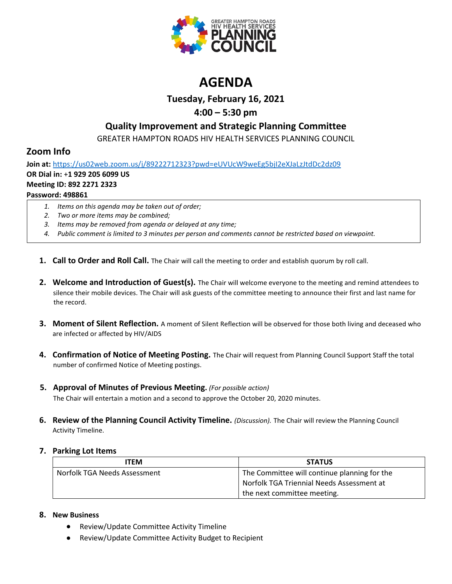

# **AGENDA**

## **Tuesday, February 16, 2021**

## **4:00 – 5:30 pm**

## **Quality Improvement and Strategic Planning Committee**

GREATER HAMPTON ROADS HIV HEALTH SERVICES PLANNING COUNCIL

## **Zoom Info**

**Join at:** <https://us02web.zoom.us/j/89222712323?pwd=eUVUcW9weEg5bjI2eXJaLzJtdDc2dz09> **OR Dial in:** +**1 929 205 6099 US Meeting ID: 892 2271 2323 Password: 498861**

- *1. Items on this agenda may be taken out of order;*
- *2. Two or more items may be combined;*
- *3. Items may be removed from agenda or delayed at any time;*
- *4. Public comment is limited to 3 minutes per person and comments cannot be restricted based on viewpoint.*
- **1. Call to Order and Roll Call.** The Chair will call the meeting to order and establish quorum by roll call.
- **2. Welcome and Introduction of Guest(s).** The Chair will welcome everyone to the meeting and remind attendees to silence their mobile devices. The Chair will ask guests of the committee meeting to announce their first and last name for the record.
- **3. Moment of Silent Reflection.** A moment of Silent Reflection will be observed for those both living and deceased who are infected or affected by HIV/AIDS
- **4. Confirmation of Notice of Meeting Posting.** The Chair will request from Planning Council Support Staff the total number of confirmed Notice of Meeting postings.
- **5. Approval of Minutes of Previous Meeting.** *(For possible action)* The Chair will entertain a motion and a second to approve the October 20, 2020 minutes.
- **6. Review of the Planning Council Activity Timeline.** *(Discussion).* The Chair will review the Planning Council Activity Timeline.

### **7. Parking Lot Items**

| ITEM                         | <b>STATUS</b>                                |
|------------------------------|----------------------------------------------|
| Norfolk TGA Needs Assessment | The Committee will continue planning for the |
|                              | Norfolk TGA Triennial Needs Assessment at    |
|                              | the next committee meeting.                  |

### **8. New Business**

- Review/Update Committee Activity Timeline
- Review/Update Committee Activity Budget to Recipient